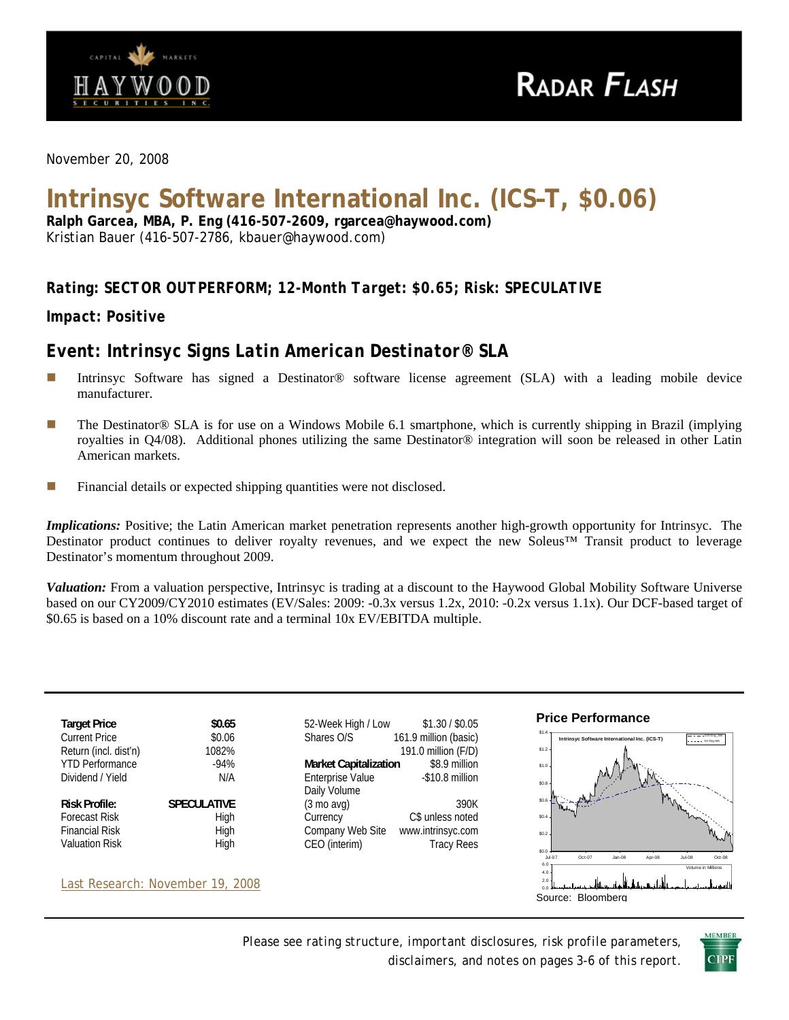

*November 20, 2008* 

# **Intrinsyc Software International Inc. (ICS–T, \$0.06)**

**Ralph Garcea, MBA, P. Eng (416-507-2609, rgarcea@haywood.com)**  Kristian Bauer (416-507-2786, kbauer@haywood.com)

## *Rating: SECTOR OUTPERFORM; 12-Month Target: \$0.65; Risk: SPECULATIVE*

*Impact: Positive* 

# *Event: Intrinsyc Signs Latin American Destinator® SLA*

- Intrinsyc Software has signed a Destinator® software license agreement (SLA) with a leading mobile device manufacturer.
- The Destinator<sup>®</sup> SLA is for use on a Windows Mobile 6.1 smartphone, which is currently shipping in Brazil (implying royalties in Q4/08). Additional phones utilizing the same Destinator® integration will soon be released in other Latin American markets.
- **Financial details or expected shipping quantities were not disclosed.**

*Implications:* Positive; the Latin American market penetration represents another high-growth opportunity for Intrinsyc. The Destinator product continues to deliver royalty revenues, and we expect the new Soleus™ Transit product to leverage Destinator's momentum throughout 2009.

*Valuation:* From a valuation perspective, Intrinsyc is trading at a discount to the Haywood Global Mobility Software Universe based on our CY2009/CY2010 estimates (EV/Sales: 2009: -0.3x versus 1.2x, 2010: -0.2x versus 1.1x). Our DCF-based target of \$0.65 is based on a 10% discount rate and a terminal 10x EV/EBITDA multiple.



*Please see rating structure, important disclosures, risk profile parameters, disclaimers, and notes on pages 3-6 of this report*.

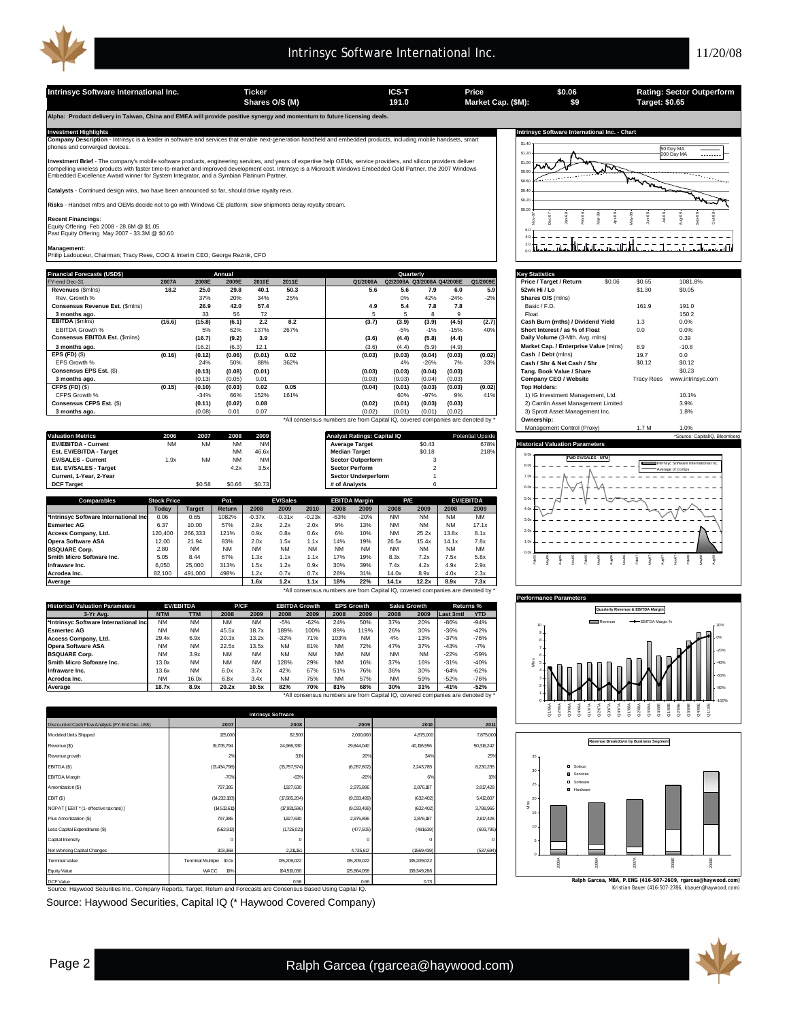

**Intrinsyc Software International Inc. Ticker Ticker ICS-T Price 191.0 Market Cap. (\$M): 191.0 Market Cap. (\$M): 191.0 191.0 191.0 191.0 191.0 191.0 191.0 191.0 191.0 191.0 191.0 191 \$0.06 \$9 Shares O/S (M) Market Cap. (\$M): 191.0 Target: \$0.65 Alpha: Product delivery in Taiwan, China and EMEA will provide positive synergy and momentum to future licensing deals. Investment Highlights Intrinsyc Software International Inc. - Chart Company Description** - Intrinsyc is a leader in software and services that enable next-generation handheld and embedded products, including mobile handsets, smart<br>phones and converged devices. \$1.40 50 Day MA \$1.20 200 Day MA **nt Brief** - The company's mobile software products, engineering services, and years of expertise help OEMs, service providers, and silicon providers deliver \$1.0 compelling wireless products with faster time-to-market and improved development cost. Intrinsyc is a Microsoft Windows Embedded Gold Partner, the 2007 Windows<br>Embedded Excellence Award winner for System Integrator, and a 1ء. \$0.8  $\cdots$ ∽ \$0.60 **Catalysts** - Continued design wins, two have been announced so far, should drive royalty revs. \$0.40 **Risks** - Handset mftrs and OEMs decide not to go with Windows CE platform; slow shipments delay royalty stream. \$0.20  $\sin 0$ Feb-08 Jun-08 Jul-08 Aug-08 Sep-08 Nov-07 Dec-07 Jan-08 Mar-08 Apr-08 May-08 Oct-08 **Recent Financings**: Equity Offering Feb 2008 - 28.6M @ \$1.05 Past Equity Offering May 2007 - 33.3M @ \$0.60 6.0 <u> 2002 - 200</u> 4.0  $=$   $$ tir. H 2.0 **Management:** Philip Ladouceur, Chairman; Tracy Rees, COO & Interim CEO; George Reznik, CFO 0.0 **Financial Forecasts (USD\$) Key Statistics Annual Quarterly** FY-end Dec-31 **2007A 2008E 2009E 2010E 2011E Q1/2008A Q2/2008A Q3/2008A Q4/2008E Q1/2009E Price / Target / Return** \$0.06 \$0.65 1081.8% **Revenues** (\$mlns) **18.2 25.0 29.8 40.1 50.3 5.6 5.6 7.9 6.0 5.9 52wk Hi / Lo** \$1.30 \$0.05 **Conservence and Conservence 2009**<br> **Conservence Est. (\$mlns) 26.9 42.0 57.4 191.0**<br> **Conserved Description 26.9 42.0 57.4 4.9 5.4 7.8 7.8** Basic/F.D. 161.9 191.0 Rev. Growth % 37% 20% 34% 25% 0% 42% -24% -2% **Shares O/S** (mlns) EBITDA **(16.6) (16.6) (15.8) 58 72**<br>15.02 (16.6) (15.8) (3.1) 2.2 8.2 (3.7) (3.9) (3.9) (4.5) (3.7) (3.7) (3.7) (3.7) Cash Burn (mths) / Dividend Yield<br>EBITDA Growth % (16.6) (5% 62% 137% 267% (3.7) (3.9) (4.5% 1.1% 1.5% **3 months ago.** 33 56 72 5 5 8 9 Float 150.2 EBITDA Growth % 5% 62% 137% 267% -5% -1% -15% 40% **Short Interest / as % of Float** 0.0 0.0% **Consensus EBITDA Est.** (\$mlns) **(16.7) (16.7) (9.2)** 3.9 **(3.6) (4.4) (3.6) (4.4) Daily Volume (3-Mth. Avg. mlns) 0.39 1.39 <b>1.49 Market Cap. / Enterprise Value** (mlns) 8.9 **10.8 0.39 10.8 3 months ago.** (16.2) (16.2) (6.3) 12.1 (3.6) (4.4) (5.9) (4.9) (4.9) Market Cap. / Enterprise Value (mlns)<br>**EPS (FD)** (\$) (5.8) (5.8 (4.4) (5.9 (4.2) (4.9 (4.2) Market Cap. / Enterprise Value (mlns) **EPS (FD)** (\$) **(0.16) (0.12) (0.01) (0.06) 0.02 (0.03) (0.03) (0.04) (0.03) (0.02) Cash / Debt** (mlns) 19.7 0.0 EPS Growth % 24% 50% 88% 362% 4% -26% 7% 33% **Cash / Shr & Net Cash / Shr** \$0.12 \$0.12 **Consensus EPS Est.** (\$) **(0.13) (0.01) (0.08) - (0.03) (0.03) (0.04) (0.03) (0.03) Tang. Book Value / Share** \$0.23 **3 months ago.** (0.13) 0.01 (0.05) 0.10 (0.03) (0.03) (0.04) (0.03) (0.03) **Company CEO / Website** www.intrinsyc.com Tracy Rees CFPS (FD) (\$) (0.15) (0.15) (0.19) (0.20) (0.20) (0.20) (0.35) (0.46) (0.46) (0.46) (0.46) (0.46) (0.46) (0.46) (0.46) (0.46) (0.46) (0.46) (0.20) (0.20) (0.20) (0.20) (0.22) (0.22) (0.22) (0.22) (0.22) (0.22) (0.22) (0.22 **CFPS (FD)** (\$) **(0.15) (0.10) 0.02 0.05 (0.03) (0.04) (0.01) (0.03) (0.03) (0.02) Top Holders: Consensus CFPS Est.** (\$) **(0.11) 0.08 (0.02) 0.13 (0.02) (0.01) (0.03) (0.03) (0.02)** 2) Camlin Asset Management Limited 3.9% **3 months ago.** (0.08) 0.01 0.07 0.13 (0.02) (0.01) (0.01) (0.02) (0.02) 3) Sprott Asset Management Inc. 1.8% \*All consensus numbers are from Capital IQ, covered companies are denoted by \* **Ownership:** Management Control (Proxy) 1.7 M 1.0% **Valuation Metrics 2006 2007 2008 2009 Analyst Ratings: Capital IQ Potential Upside \*Source: Capital Upside \*Source: CapitalIQ, Bloomberg EV/EBITDA - Current 1992 CONSUMING THE MEDIAN CONSUMING THE MEDIAN CURRENT ACCURRENT ACCURRENT NM NM 46.6x Median Target \$0.18 218% 218% PM 46.6x Median Target \$0.18 218% PM 46.6x Median Target \$0.18 218% PM 46.6x 218% PM EV/EBITDA - Current** NM NM NM NM **Average Target** \$0.43 678% **Historical Valuation Parameters** 9.0x **EV/SALES - Current** 1.9x NM NM NM **Sector Outperform** 3 **FWD EV/SALES - NTM Est. EV/SALES - Target** Intrinsyc Software International Inc. 8.0x Average of Comps **Current, 1-Year, 2-Year Sector Underperform Sector Underperform Sector Underperform** 7.0 **DCF Target** \$0.58 \$0.66 \$0.73 **# of Analysts** 6 6.0x **P/E EV/EBITDA** 5.0x **Comparable Stock Price Pot.**<br> **Comparable Price Price Price Price Price Price Price Price Price Price Price Price Price Price Price Price Price Price Price Price Price Price Price Price Price Price Price Price Price Price EBITDA Margin EV/Sa**  $\overline{40}$ **Today Target Return 2008 2009 2010 2008 2009 2008 2009 2008 2009 \*Intrinsyc Software International Inc** 0.06 0.65 1082% -0.37x -0.31x -0.23x -63% -20% NM NM NM NM V 3.0x **Esmertec AG** 6.37 10.00 57% 2.9x 2.2x 2.0x 9% 13% NM NM NM 17.1x  $^{2.0}$ **CCESS Company, Ltd.** 120,400 266,333 121% 0.9x 0.8x 0.6x 6% 10% NM 25.2x 13.8x 8.1x **Opera Software ASA** 12.00 21.94 83% 2.0x 1.5x 1.1x 14% 19% 26.5x 15.4x 14.1x 7.8x 1.0x **BSQUARE Corp.** 2.80 NM NM NM NM NM NM NM NM NM NM NM 0.0x **Smith Micro Software Inc.** 5.05 8.44 67% 1.3x 1.1x 1.1x 17% 19% 8.3x 7.2x 7.5x 5.8x Feb05 May05 Aug05 Nov05 Feb06 May06 Aug06 Nov06 Feb07 May07 Aug07 Nov07 Feb08 May08 Aug08 **Infraware Inc.** | 6,050 | 25,000 | 313% | 1.5x 1.2x 0.9x | 30% 39% | 7.4x 4.2x | 4.9x 2.9x **Acrodea Inc.** 82,100 491,000 498% 1.2x 0.7x 0.7x 28% 31% 14.0x 8.9x 4.0x 2.3x **Average 1.6x 1.2x 1.1x 18% 22% 14.1x 12.2x 8.9x 7.3x** \*All consensus numbers are from Capital IQ, covered companies are denoted by \* **Performance Parameters Historical Valuation Parameters EV/EBITDA P/CF EBITDA Growth EPS Growth Sales Growth Returns %**<br>**NTM TTM** 2008 2009 2008 2009 2008 2009 2008 2009 Last 3mtl YTD **EPS Quarterly Revenue & EBITDA Margin 3-Yr Avg. NTM TTM 2008 2009 2008 2009 2008 2009 2008 2009 Last 3mth YTD \*Intrinsyc Software International Inc** NM NM NM NM -5% -62% 24% 50% 37% 20% -86% -94% Revenue **EBITDA** Margin % 10 **Esmertec AG** NM NM 45.5x 18.7x 189% 100% 89% 119% 26% 30% -36% -42% 9 **Access Company, Ltd.** 29.4x 6.9x 20.3x 13.2x -32% 71% 103% NM 4% 13% -37% -76% 0% 8 **pera Software ASA NM NM 22.5x 13.5x NM 81% NM 72% 47% 37% -43% -7%**<br>**SQUARE Corp. NM 3.8x NM NM NM 128% 29% NM 16 NM 16 22% -59% -59%**<br>Mith Micro Software Inc. 13.0x NM NM NM 128% 29% NM 16% 37% 16% -31% -40% 7 -20% **BSQUARE Corp.** NM 3.9x NM NM NM NM NM NM NM NM -22% -59% 6 Mlns **Smith Micro Software Inc.** 13.0x NM NM NM 128% 29% NM 16% 37% 16% -31% -40% 5 -40% **Infraware Inc.** 13.6x NM 6.0x 3.7x 42% 67% 51% 76% 36% 30% -64% -62% 4 -60% **Acrodea Inc.** NM 16.0x 6.8x 3.4x NM 75% NM 57% NM 59% -52% -76% 3 **Average 18.7x 8.9x 20.2x 10.5x 82% 70% 81% 68% 30% 31% -41% -52%** -80% \*All consensus numbers are from Capital IQ, covered companies are denoted by \* 0 -100% Q2/09E n<br>2020<br>2030<br>2030 Q1/09E Q3/09E Q4/09E Q1/10E  $Q4/08$  $\frac{8}{2}$  $\frac{8}{9}$  $\frac{8}{3}$  $\frac{8}{3}$  $3808$ **Intrinsyc Software unted Cash Flow Analy 2010 2011 2007 2008 2009** Modeled Units Shipped 125,000 2,500 62,500 62,500 2,000,000 4,875,000 4,875,000 7,875,000 7,875,000 7,875,000 7,875,000 7,875,000 7,875,000 7,875,000 7,875,000 7,875,000 7,875,000 7,875,000 7,875,000 7,875,000 7,875,000 7, **Revenue Breakdown by Business Segment** venue (\$) 19,705,794 24,966,330 29,844,040 40,136,556 50,316,24 Revenue growth 2% 31% 20% 34% 25% 35 EBITDA (\$) 8,230,235 (13,434,798) (15,757,574) (6,057,602) 2,243,785 Soleus 30 EBITDA Margin Services -70% -63% -20% 6% 16% Software mortization (\$) 2,817,428 25 797,385 1,927,630 2,975,896 2,876,187 Hardware EBIT (\$) (14,232,183) (17,685,204) (9,033,499) (632,402) 5,412,807 20 Mlns NOPAT [ EBIT \* (1 - effective tax rate) ] 3,788,965 (14,513,611) (17,931,596) (9,033,499) (632,402) 15 Plus Amortization (\$) 797,385 1,927,630 2,975,896 2,876,187 2,817,428 Less Capital Expenditures (\$) (562,912) (1,726,021) (477,505) (481,639)  $(603,7)$ 10 Capital Intensity 0 0 0 0 0 5 t Working Capital 1,735,6 303,368 2,211,151 4,735,617 4,735,617 (1,569,439) (537,694) 0 hinal Value Terminal Multiple 10.0 135,209,022 135,209,022 135,209,022 2005A 2006A 2007A 2008E 2009E  $\boldsymbol{v}$ 104,519 125,864,058 139,349 Equity Value **Ralph Garcea, MBA, P.ENG (416-507-2609, rgarcea@haywood.com)**  $DCF$  Value  $0.66$   $0.73$ <u>0.58</u> **0.58** kristian Bauer (416-507-2786, Source: Haywood Securities Inc., Company Reports, Target, Return and Forecasts are Consensus Based Using Capital IQ. Source: Haywood Securities, Capital IQ (\* Haywood Covered Company)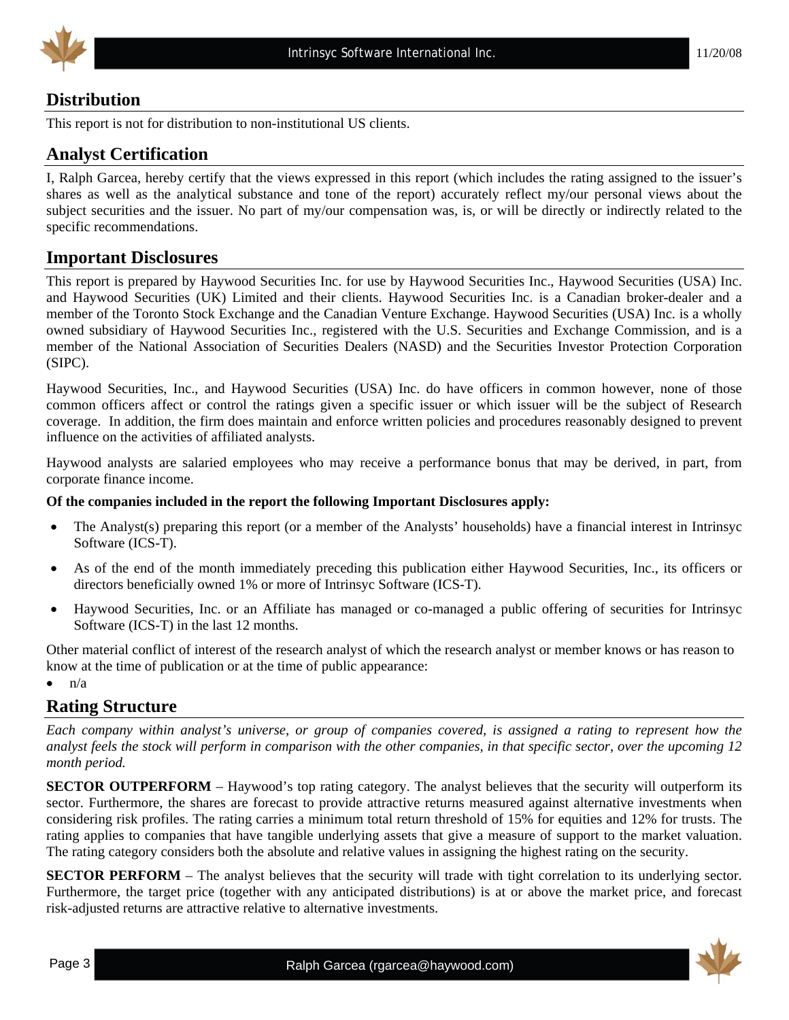

## **Distribution**

This report is not for distribution to non-institutional US clients.

## **Analyst Certification**

I, Ralph Garcea, hereby certify that the views expressed in this report (which includes the rating assigned to the issuer's shares as well as the analytical substance and tone of the report) accurately reflect my/our personal views about the subject securities and the issuer. No part of my/our compensation was, is, or will be directly or indirectly related to the specific recommendations.

## **Important Disclosures**

This report is prepared by Haywood Securities Inc. for use by Haywood Securities Inc., Haywood Securities (USA) Inc. and Haywood Securities (UK) Limited and their clients. Haywood Securities Inc. is a Canadian broker-dealer and a member of the Toronto Stock Exchange and the Canadian Venture Exchange. Haywood Securities (USA) Inc. is a wholly owned subsidiary of Haywood Securities Inc., registered with the U.S. Securities and Exchange Commission, and is a member of the National Association of Securities Dealers (NASD) and the Securities Investor Protection Corporation (SIPC).

Haywood Securities, Inc., and Haywood Securities (USA) Inc. do have officers in common however, none of those common officers affect or control the ratings given a specific issuer or which issuer will be the subject of Research coverage. In addition, the firm does maintain and enforce written policies and procedures reasonably designed to prevent influence on the activities of affiliated analysts.

Haywood analysts are salaried employees who may receive a performance bonus that may be derived, in part, from corporate finance income.

#### **Of the companies included in the report the following Important Disclosures apply:**

- The Analyst(s) preparing this report (or a member of the Analysts' households) have a financial interest in Intrinsyc Software (ICS-T).
- As of the end of the month immediately preceding this publication either Haywood Securities, Inc., its officers or directors beneficially owned 1% or more of Intrinsyc Software (ICS-T).
- Haywood Securities, Inc. or an Affiliate has managed or co-managed a public offering of securities for Intrinsyc Software (ICS-T) in the last 12 months.

Other material conflict of interest of the research analyst of which the research analyst or member knows or has reason to know at the time of publication or at the time of public appearance:

 $\bullet$   $\bullet$   $\bullet$   $\bullet$ 

## **Rating Structure**

*Each company within analyst's universe, or group of companies covered, is assigned a rating to represent how the analyst feels the stock will perform in comparison with the other companies, in that specific sector, over the upcoming 12 month period.* 

**SECTOR OUTPERFORM** – Haywood's top rating category. The analyst believes that the security will outperform its sector. Furthermore, the shares are forecast to provide attractive returns measured against alternative investments when considering risk profiles. The rating carries a minimum total return threshold of 15% for equities and 12% for trusts. The rating applies to companies that have tangible underlying assets that give a measure of support to the market valuation. The rating category considers both the absolute and relative values in assigning the highest rating on the security.

**SECTOR PERFORM** – The analyst believes that the security will trade with tight correlation to its underlying sector. Furthermore, the target price (together with any anticipated distributions) is at or above the market price, and forecast risk-adjusted returns are attractive relative to alternative investments.

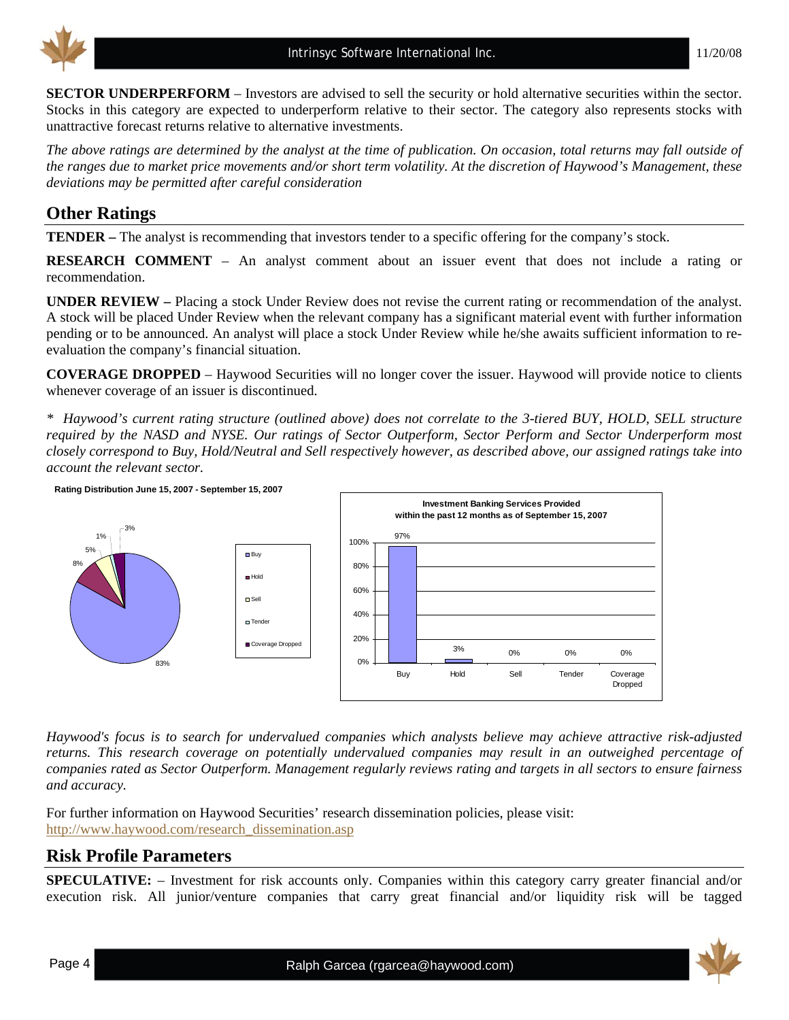

**SECTOR UNDERPERFORM** – Investors are advised to sell the security or hold alternative securities within the sector. Stocks in this category are expected to underperform relative to their sector. The category also represents stocks with unattractive forecast returns relative to alternative investments.

*The above ratings are determined by the analyst at the time of publication. On occasion, total returns may fall outside of the ranges due to market price movements and/or short term volatility. At the discretion of Haywood's Management, these deviations may be permitted after careful consideration* 

# **Other Ratings**

**TENDER –** The analyst is recommending that investors tender to a specific offering for the company's stock.

**RESEARCH COMMENT** – An analyst comment about an issuer event that does not include a rating or recommendation.

**UNDER REVIEW –** Placing a stock Under Review does not revise the current rating or recommendation of the analyst. A stock will be placed Under Review when the relevant company has a significant material event with further information pending or to be announced. An analyst will place a stock Under Review while he/she awaits sufficient information to reevaluation the company's financial situation.

**COVERAGE DROPPED** – Haywood Securities will no longer cover the issuer. Haywood will provide notice to clients whenever coverage of an issuer is discontinued.

*\* Haywood's current rating structure (outlined above) does not correlate to the 3-tiered BUY, HOLD, SELL structure required by the NASD and NYSE. Our ratings of Sector Outperform, Sector Perform and Sector Underperform most closely correspond to Buy, Hold/Neutral and Sell respectively however, as described above, our assigned ratings take into account the relevant sector.* 



*Haywood's focus is to search for undervalued companies which analysts believe may achieve attractive risk-adjusted returns. This research coverage on potentially undervalued companies may result in an outweighed percentage of companies rated as Sector Outperform. Management regularly reviews rating and targets in all sectors to ensure fairness and accuracy.* 

For further information on Haywood Securities' research dissemination policies, please visit: [http://www.haywood.com/research\\_dissemination.asp](http://www.haywood.com/research_dissemination.asp) 

## **Risk Profile Parameters**

**SPECULATIVE:** – Investment for risk accounts only. Companies within this category carry greater financial and/or execution risk. All junior/venture companies that carry great financial and/or liquidity risk will be tagged

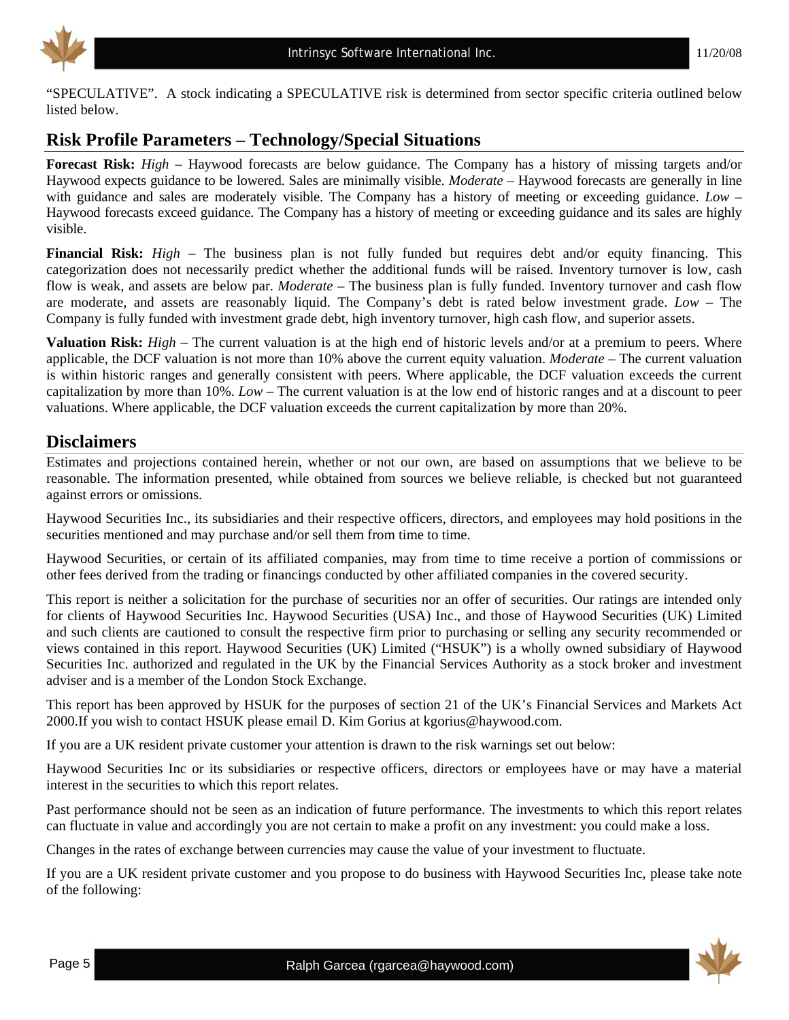

"SPECULATIVE". A stock indicating a SPECULATIVE risk is determined from sector specific criteria outlined below listed below.

# **Risk Profile Parameters – Technology/Special Situations**

**Forecast Risk:** *High* – Haywood forecasts are below guidance. The Company has a history of missing targets and/or Haywood expects guidance to be lowered. Sales are minimally visible. *Moderate* – Haywood forecasts are generally in line with guidance and sales are moderately visible. The Company has a history of meeting or exceeding guidance. *Low* – Haywood forecasts exceed guidance. The Company has a history of meeting or exceeding guidance and its sales are highly visible.

**Financial Risk:** *High* – The business plan is not fully funded but requires debt and/or equity financing. This categorization does not necessarily predict whether the additional funds will be raised. Inventory turnover is low, cash flow is weak, and assets are below par. *Moderate* – The business plan is fully funded. Inventory turnover and cash flow are moderate, and assets are reasonably liquid. The Company's debt is rated below investment grade. *Low* – The Company is fully funded with investment grade debt, high inventory turnover, high cash flow, and superior assets.

**Valuation Risk:** *High* – The current valuation is at the high end of historic levels and/or at a premium to peers. Where applicable, the DCF valuation is not more than 10% above the current equity valuation. *Moderate* – The current valuation is within historic ranges and generally consistent with peers. Where applicable, the DCF valuation exceeds the current capitalization by more than 10%. *Low* – The current valuation is at the low end of historic ranges and at a discount to peer valuations. Where applicable, the DCF valuation exceeds the current capitalization by more than 20%.

### **Disclaimers**

Estimates and projections contained herein, whether or not our own, are based on assumptions that we believe to be reasonable. The information presented, while obtained from sources we believe reliable, is checked but not guaranteed against errors or omissions.

Haywood Securities Inc., its subsidiaries and their respective officers, directors, and employees may hold positions in the securities mentioned and may purchase and/or sell them from time to time.

Haywood Securities, or certain of its affiliated companies, may from time to time receive a portion of commissions or other fees derived from the trading or financings conducted by other affiliated companies in the covered security.

This report is neither a solicitation for the purchase of securities nor an offer of securities. Our ratings are intended only for clients of Haywood Securities Inc. Haywood Securities (USA) Inc., and those of Haywood Securities (UK) Limited and such clients are cautioned to consult the respective firm prior to purchasing or selling any security recommended or views contained in this report. Haywood Securities (UK) Limited ("HSUK") is a wholly owned subsidiary of Haywood Securities Inc. authorized and regulated in the UK by the Financial Services Authority as a stock broker and investment adviser and is a member of the London Stock Exchange.

This report has been approved by HSUK for the purposes of section 21 of the UK's Financial Services and Markets Act 2000.If you wish to contact HSUK please email D. Kim Gorius at kgorius@haywood.com.

If you are a UK resident private customer your attention is drawn to the risk warnings set out below:

Haywood Securities Inc or its subsidiaries or respective officers, directors or employees have or may have a material interest in the securities to which this report relates.

Past performance should not be seen as an indication of future performance. The investments to which this report relates can fluctuate in value and accordingly you are not certain to make a profit on any investment: you could make a loss.

Changes in the rates of exchange between currencies may cause the value of your investment to fluctuate.

If you are a UK resident private customer and you propose to do business with Haywood Securities Inc, please take note of the following: